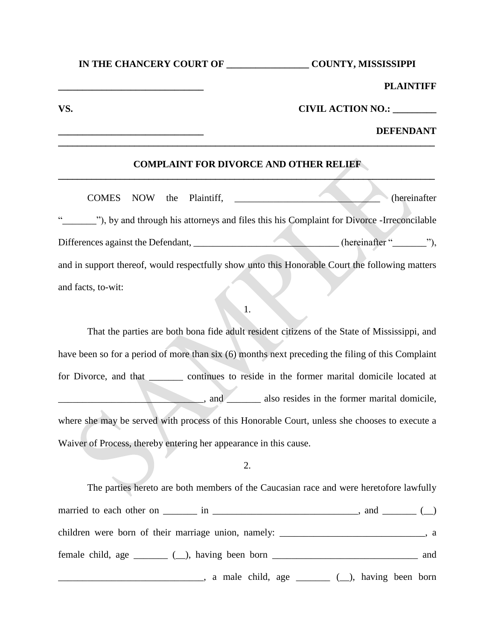#### **\_\_\_\_\_\_\_\_\_\_\_\_\_\_\_\_\_\_\_\_\_\_\_\_\_\_\_\_\_\_ PLAINTIFF**

# **VS. CIVIL ACTION NO.: \_\_\_\_\_\_\_\_\_**

## **\_\_\_\_\_\_\_\_\_\_\_\_\_\_\_\_\_\_\_\_\_\_\_\_\_\_\_\_\_\_ DEFENDANT**

## **COMPLAINT FOR DIVORCE AND OTHER RELIEF \_\_\_\_\_\_\_\_\_\_\_\_\_\_\_\_\_\_\_\_\_\_\_\_\_\_\_\_\_\_\_\_\_\_\_\_\_\_\_\_\_\_\_\_\_\_\_\_\_\_\_\_\_\_\_\_\_\_\_\_\_\_\_\_\_\_\_\_\_\_\_\_\_\_\_\_\_\_\_**

**\_\_\_\_\_\_\_\_\_\_\_\_\_\_\_\_\_\_\_\_\_\_\_\_\_\_\_\_\_\_\_\_\_\_\_\_\_\_\_\_\_\_\_\_\_\_\_\_\_\_\_\_\_\_\_\_\_\_\_\_\_\_\_\_\_\_\_\_\_\_\_\_\_\_\_\_\_\_\_** 

COMES NOW the Plaintiff, \_\_\_\_\_\_\_\_\_\_\_\_\_\_\_\_\_\_\_\_\_\_\_\_\_\_\_\_\_\_ (hereinafter "\_\_\_\_\_\_\_"), by and through his attorneys and files this his Complaint for Divorce -Irreconcilable Differences against the Defendant, \_\_\_\_\_\_\_\_\_\_\_\_\_\_\_\_\_\_\_\_\_\_\_\_\_\_\_\_\_(hereinafter "\_\_\_\_\_"), and in support thereof, would respectfully show unto this Honorable Court the following matters and facts, to-wit:

1.

That the parties are both bona fide adult resident citizens of the State of Mississippi, and have been so for a period of more than six (6) months next preceding the filing of this Complaint for Divorce, and that \_\_\_\_\_\_\_ continues to reside in the former marital domicile located at  $\blacksquare$ , and  $\blacksquare$  also resides in the former marital domicile, where she may be served with process of this Honorable Court, unless she chooses to execute a Waiver of Process, thereby entering her appearance in this cause.

2.

The parties hereto are both members of the Caucasian race and were heretofore lawfully married to each other on  $\frac{1}{\sqrt{2}}$  in  $\frac{1}{\sqrt{2}}$  in  $\frac{1}{\sqrt{2}}$  and  $\frac{1}{\sqrt{2}}$  ( $\frac{1}{\sqrt{2}}$ ) children were born of their marriage union, namely: \_\_\_\_\_\_\_\_\_\_\_\_\_\_\_\_\_\_\_\_\_\_\_\_\_\_\_\_, a female child, age \_\_\_\_\_\_ (\_), having been born \_\_\_\_\_\_\_\_\_\_\_\_\_\_\_\_\_\_\_\_\_\_\_\_\_\_\_\_\_\_\_\_ and \_\_\_\_\_\_\_\_\_\_\_\_\_\_\_\_\_\_\_\_\_\_\_\_\_\_, a male child, age \_\_\_\_\_\_\_ (\_\_), having been born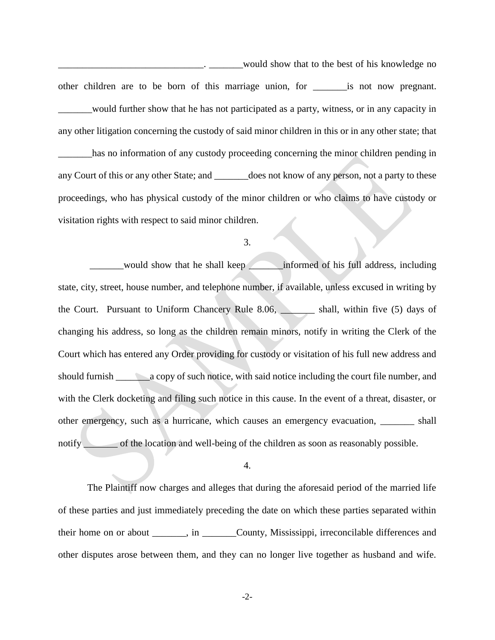would show that to the best of his knowledge no other children are to be born of this marriage union, for \_\_\_\_\_\_\_is not now pregnant. \_\_\_\_\_\_\_would further show that he has not participated as a party, witness, or in any capacity in any other litigation concerning the custody of said minor children in this or in any other state; that \_\_\_\_\_\_\_has no information of any custody proceeding concerning the minor children pending in any Court of this or any other State; and \_\_\_\_\_\_\_does not know of any person, not a party to these proceedings, who has physical custody of the minor children or who claims to have custody or visitation rights with respect to said minor children.

#### 3.

\_\_\_\_\_\_\_would show that he shall keep \_\_\_\_\_\_\_informed of his full address, including state, city, street, house number, and telephone number, if available, unless excused in writing by the Court. Pursuant to Uniform Chancery Rule 8.06, \_\_\_\_\_\_\_ shall, within five (5) days of changing his address, so long as the children remain minors, notify in writing the Clerk of the Court which has entered any Order providing for custody or visitation of his full new address and should furnish \_\_\_\_\_\_\_a copy of such notice, with said notice including the court file number, and with the Clerk docketing and filing such notice in this cause. In the event of a threat, disaster, or other emergency, such as a hurricane, which causes an emergency evacuation, \_\_\_\_\_\_\_ shall notify of the location and well-being of the children as soon as reasonably possible.

#### 4.

The Plaintiff now charges and alleges that during the aforesaid period of the married life of these parties and just immediately preceding the date on which these parties separated within their home on or about \_\_\_\_\_\_\_, in \_\_\_\_\_\_\_County, Mississippi, irreconcilable differences and other disputes arose between them, and they can no longer live together as husband and wife.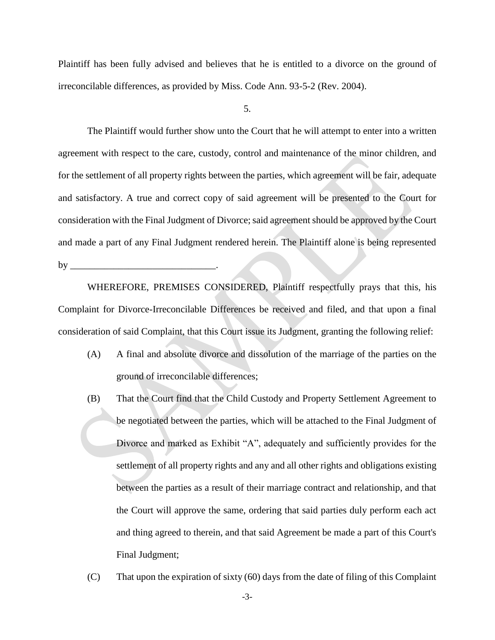Plaintiff has been fully advised and believes that he is entitled to a divorce on the ground of irreconcilable differences, as provided by Miss. Code Ann. 93-5-2 (Rev. 2004).

5.

The Plaintiff would further show unto the Court that he will attempt to enter into a written agreement with respect to the care, custody, control and maintenance of the minor children, and for the settlement of all property rights between the parties, which agreement will be fair, adequate and satisfactory. A true and correct copy of said agreement will be presented to the Court for consideration with the Final Judgment of Divorce; said agreement should be approved by the Court and made a part of any Final Judgment rendered herein. The Plaintiff alone is being represented by \_\_\_\_\_\_\_\_\_\_\_\_\_\_\_\_\_\_\_\_\_\_\_\_\_\_\_\_\_\_.

WHEREFORE, PREMISES CONSIDERED, Plaintiff respectfully prays that this, his Complaint for Divorce-Irreconcilable Differences be received and filed, and that upon a final consideration of said Complaint, that this Court issue its Judgment, granting the following relief:

- (A) A final and absolute divorce and dissolution of the marriage of the parties on the ground of irreconcilable differences;
- (B) That the Court find that the Child Custody and Property Settlement Agreement to be negotiated between the parties, which will be attached to the Final Judgment of Divorce and marked as Exhibit "A", adequately and sufficiently provides for the settlement of all property rights and any and all other rights and obligations existing between the parties as a result of their marriage contract and relationship, and that the Court will approve the same, ordering that said parties duly perform each act and thing agreed to therein, and that said Agreement be made a part of this Court's Final Judgment;
- (C) That upon the expiration of sixty (60) days from the date of filing of this Complaint